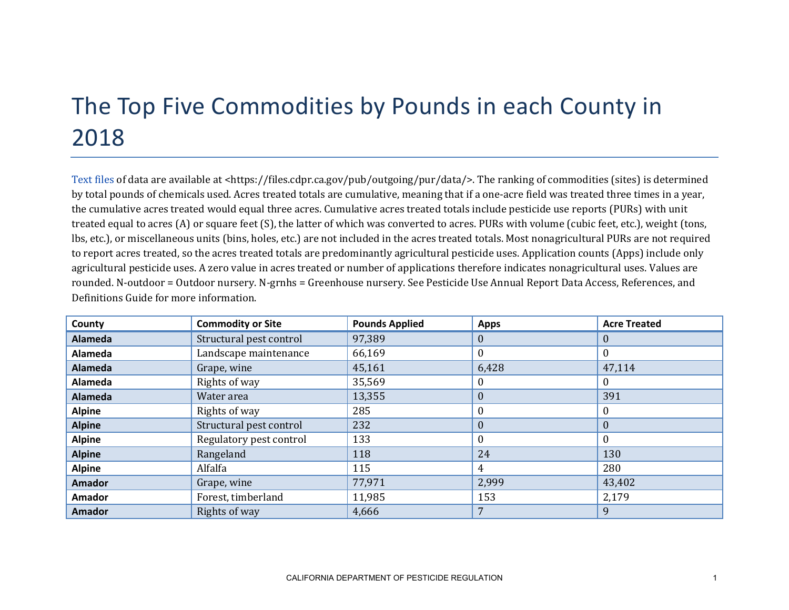## The Top Five Commodities by Pounds in each County in 2018

[Text files](https://files.cdpr.ca.gov/pub/outgoing/pur/data/) of data are available at <https://files.cdpr.ca.gov/pub/outgoing/pur/data/>. The ranking of commodities (sites) is determined by total pounds of chemicals used. Acres treated totals are cumulative, meaning that if a one-acre field was treated three times in a year, the cumulative acres treated would equal three acres. Cumulative acres treated totals include pesticide use reports (PURs) with unit treated equal to acres (A) or square feet (S), the latter of which was converted to acres. PURs with volume (cubic feet, etc.), weight (tons, lbs, etc.), or miscellaneous units (bins, holes, etc.) are not included in the acres treated totals. Most nonagricultural PURs are not required to report acres treated, so the acres treated totals are predominantly agricultural pesticide uses. Application counts (Apps) include only agricultural pesticide uses. A zero value in acres treated or number of applications therefore indicates nonagricultural uses. Values are rounded. N-outdoor = Outdoor nursery. N-grnhs = Greenhouse nursery. See Pesticide Use Annual Report Data Access, References, and Definitions Guide for more information.

| County         | <b>Commodity or Site</b> | <b>Pounds Applied</b> | <b>Apps</b>      | <b>Acre Treated</b> |
|----------------|--------------------------|-----------------------|------------------|---------------------|
| Alameda        | Structural pest control  | 97,389                | 0                | $\theta$            |
| Alameda        | Landscape maintenance    | 66,169                |                  | 0                   |
| <b>Alameda</b> | Grape, wine              | 45,161                | 6,428            | 47,114              |
| Alameda        | Rights of way            | 35,569                |                  | $\theta$            |
| <b>Alameda</b> | Water area               | 13,355                | $\boldsymbol{0}$ | 391                 |
| <b>Alpine</b>  | Rights of way            | 285                   |                  | 0                   |
| <b>Alpine</b>  | Structural pest control  | 232                   | $\theta$         | $\theta$            |
| <b>Alpine</b>  | Regulatory pest control  | 133                   |                  | $\theta$            |
| <b>Alpine</b>  | Rangeland                | 118                   | 24               | 130                 |
| <b>Alpine</b>  | Alfalfa                  | 115                   | 4                | 280                 |
| <b>Amador</b>  | Grape, wine              | 77,971                | 2,999            | 43,402              |
| <b>Amador</b>  | Forest, timberland       | 11,985                | 153              | 2,179               |
| <b>Amador</b>  | Rights of way            | 4,666                 |                  | 9                   |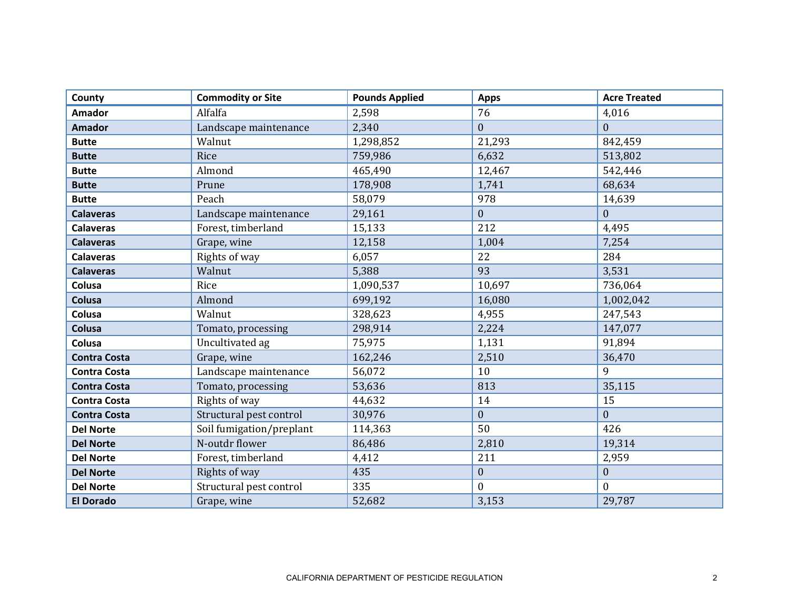| County              | <b>Commodity or Site</b> | <b>Pounds Applied</b> | <b>Apps</b>      | <b>Acre Treated</b> |
|---------------------|--------------------------|-----------------------|------------------|---------------------|
| <b>Amador</b>       | Alfalfa                  | 2,598                 | 76               | 4,016               |
| <b>Amador</b>       | Landscape maintenance    | 2,340                 | $\mathbf{0}$     | $\theta$            |
| <b>Butte</b>        | Walnut                   | 1,298,852             | 21,293           | 842,459             |
| <b>Butte</b>        | Rice                     | 759,986               | 6,632            | 513,802             |
| <b>Butte</b>        | Almond                   | 465,490               | 12,467           | 542,446             |
| <b>Butte</b>        | Prune                    | 178,908               | 1,741            | 68,634              |
| <b>Butte</b>        | Peach                    | 58,079                | 978              | 14,639              |
| <b>Calaveras</b>    | Landscape maintenance    | 29,161                | $\boldsymbol{0}$ | $\mathbf{0}$        |
| <b>Calaveras</b>    | Forest, timberland       | 15,133                | 212              | 4,495               |
| <b>Calaveras</b>    | Grape, wine              | 12,158                | 1,004            | 7,254               |
| <b>Calaveras</b>    | Rights of way            | 6,057                 | 22               | 284                 |
| <b>Calaveras</b>    | Walnut                   | 5,388                 | 93               | 3,531               |
| Colusa              | Rice                     | 1,090,537             | 10,697           | 736,064             |
| Colusa              | Almond                   | 699,192               | 16,080           | 1,002,042           |
| Colusa              | Walnut                   | 328,623               | 4,955            | 247,543             |
| Colusa              | Tomato, processing       | 298,914               | 2,224            | 147,077             |
| Colusa              | Uncultivated ag          | 75,975                | 1,131            | 91,894              |
| <b>Contra Costa</b> | Grape, wine              | 162,246               | 2,510            | 36,470              |
| <b>Contra Costa</b> | Landscape maintenance    | 56,072                | 10               | 9                   |
| <b>Contra Costa</b> | Tomato, processing       | 53,636                | 813              | 35,115              |
| <b>Contra Costa</b> | Rights of way            | 44,632                | 14               | 15                  |
| <b>Contra Costa</b> | Structural pest control  | 30,976                | $\boldsymbol{0}$ | $\mathbf{0}$        |
| <b>Del Norte</b>    | Soil fumigation/preplant | 114,363               | 50               | 426                 |
| <b>Del Norte</b>    | N-outdr flower           | 86,486                | 2,810            | 19,314              |
| <b>Del Norte</b>    | Forest, timberland       | 4,412                 | 211              | 2,959               |
| <b>Del Norte</b>    | Rights of way            | 435                   | $\boldsymbol{0}$ | $\mathbf{0}$        |
| <b>Del Norte</b>    | Structural pest control  | 335                   | $\boldsymbol{0}$ | $\mathbf{0}$        |
| <b>El Dorado</b>    | Grape, wine              | 52,682                | 3,153            | 29,787              |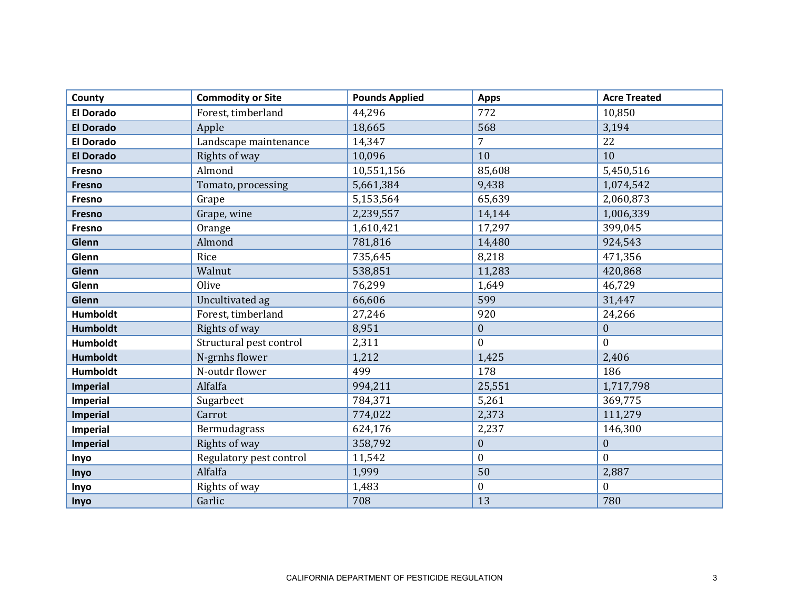| County           | <b>Commodity or Site</b> | <b>Pounds Applied</b> | <b>Apps</b>      | <b>Acre Treated</b> |
|------------------|--------------------------|-----------------------|------------------|---------------------|
| <b>El Dorado</b> | Forest, timberland       | 44,296                | 772              | 10,850              |
| <b>El Dorado</b> | Apple                    | 18,665                | 568              | 3,194               |
| <b>El Dorado</b> | Landscape maintenance    | 14,347                | $\overline{7}$   | 22                  |
| <b>El Dorado</b> | Rights of way            | 10,096                | 10               | 10                  |
| Fresno           | Almond                   | 10,551,156            | 85,608           | 5,450,516           |
| Fresno           | Tomato, processing       | 5,661,384             | 9,438            | 1,074,542           |
| Fresno           | Grape                    | 5,153,564             | 65,639           | 2,060,873           |
| Fresno           | Grape, wine              | 2,239,557             | 14,144           | 1,006,339           |
| Fresno           | Orange                   | 1,610,421             | 17,297           | 399,045             |
| Glenn            | Almond                   | 781,816               | 14,480           | 924,543             |
| Glenn            | Rice                     | 735,645               | 8,218            | 471,356             |
| Glenn            | Walnut                   | 538,851               | 11,283           | 420,868             |
| Glenn            | Olive                    | 76,299                | 1,649            | 46,729              |
| Glenn            | Uncultivated ag          | 66,606                | 599              | 31,447              |
| <b>Humboldt</b>  | Forest, timberland       | 27,246                | 920              | 24,266              |
| <b>Humboldt</b>  | Rights of way            | 8,951                 | $\boldsymbol{0}$ | $\boldsymbol{0}$    |
| <b>Humboldt</b>  | Structural pest control  | 2,311                 | $\mathbf{0}$     | $\Omega$            |
| <b>Humboldt</b>  | N-grnhs flower           | 1,212                 | 1,425            | 2,406               |
| Humboldt         | N-outdr flower           | 499                   | 178              | 186                 |
| Imperial         | Alfalfa                  | 994,211               | 25,551           | 1,717,798           |
| Imperial         | Sugarbeet                | 784,371               | 5,261            | 369,775             |
| <b>Imperial</b>  | Carrot                   | 774,022               | 2,373            | 111,279             |
| Imperial         | Bermudagrass             | 624,176               | 2,237            | 146,300             |
| <b>Imperial</b>  | Rights of way            | 358,792               | $\boldsymbol{0}$ | $\mathbf{0}$        |
| Inyo             | Regulatory pest control  | 11,542                | $\boldsymbol{0}$ | $\mathbf{0}$        |
| Inyo             | Alfalfa                  | 1,999                 | 50               | 2,887               |
| Inyo             | Rights of way            | 1,483                 | $\boldsymbol{0}$ | $\mathbf{0}$        |
| Inyo             | Garlic                   | 708                   | 13               | 780                 |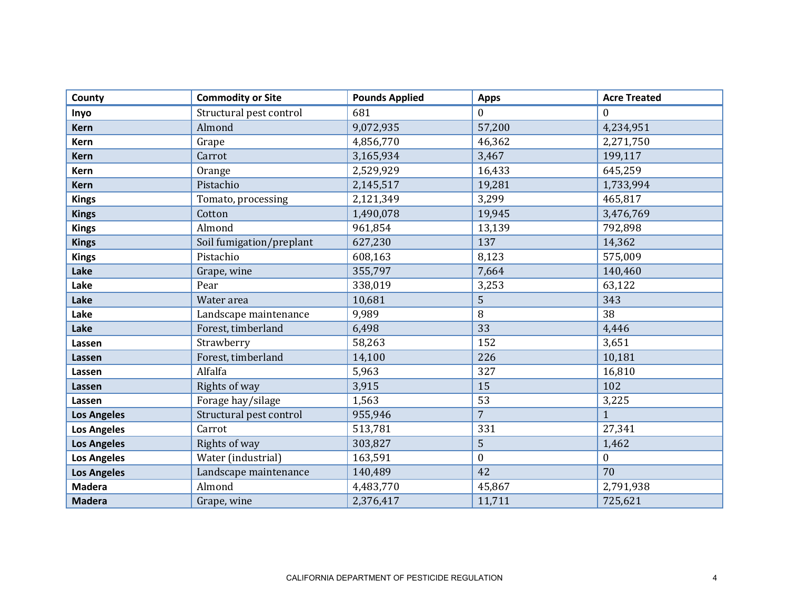| County             | <b>Commodity or Site</b> | <b>Pounds Applied</b> | <b>Apps</b>      | <b>Acre Treated</b> |
|--------------------|--------------------------|-----------------------|------------------|---------------------|
| Inyo               | Structural pest control  | 681                   | $\mathbf{0}$     | $\theta$            |
| <b>Kern</b>        | Almond                   | 9,072,935             | 57,200           | 4,234,951           |
| Kern               | Grape                    | 4,856,770             | 46,362           | 2,271,750           |
| <b>Kern</b>        | Carrot                   | 3,165,934             | 3,467            | 199,117             |
| Kern               | Orange                   | 2,529,929             | 16,433           | 645,259             |
| <b>Kern</b>        | Pistachio                | 2,145,517             | 19,281           | 1,733,994           |
| <b>Kings</b>       | Tomato, processing       | 2,121,349             | 3,299            | 465,817             |
| <b>Kings</b>       | Cotton                   | 1,490,078             | 19,945           | 3,476,769           |
| <b>Kings</b>       | Almond                   | 961,854               | 13,139           | 792,898             |
| <b>Kings</b>       | Soil fumigation/preplant | 627,230               | 137              | 14,362              |
| <b>Kings</b>       | Pistachio                | 608,163               | 8,123            | 575,009             |
| Lake               | Grape, wine              | 355,797               | 7,664            | 140,460             |
| Lake               | Pear                     | 338,019               | 3,253            | 63,122              |
| Lake               | Water area               | 10,681                | 5                | 343                 |
| Lake               | Landscape maintenance    | 9,989                 | 8                | 38                  |
| Lake               | Forest, timberland       | 6,498                 | 33               | 4,446               |
| Lassen             | Strawberry               | 58,263                | 152              | 3,651               |
| Lassen             | Forest, timberland       | 14,100                | 226              | 10,181              |
| Lassen             | Alfalfa                  | 5,963                 | 327              | 16,810              |
| Lassen             | Rights of way            | 3,915                 | 15               | 102                 |
| Lassen             | Forage hay/silage        | 1,563                 | 53               | 3,225               |
| <b>Los Angeles</b> | Structural pest control  | 955,946               | $\overline{7}$   | 1                   |
| <b>Los Angeles</b> | Carrot                   | 513,781               | 331              | 27,341              |
| <b>Los Angeles</b> | Rights of way            | 303,827               | 5                | 1,462               |
| <b>Los Angeles</b> | Water (industrial)       | 163,591               | $\boldsymbol{0}$ | $\mathbf{0}$        |
| <b>Los Angeles</b> | Landscape maintenance    | 140,489               | 42               | 70                  |
| <b>Madera</b>      | Almond                   | 4,483,770             | 45,867           | 2,791,938           |
| <b>Madera</b>      | Grape, wine              | 2,376,417             | 11,711           | 725,621             |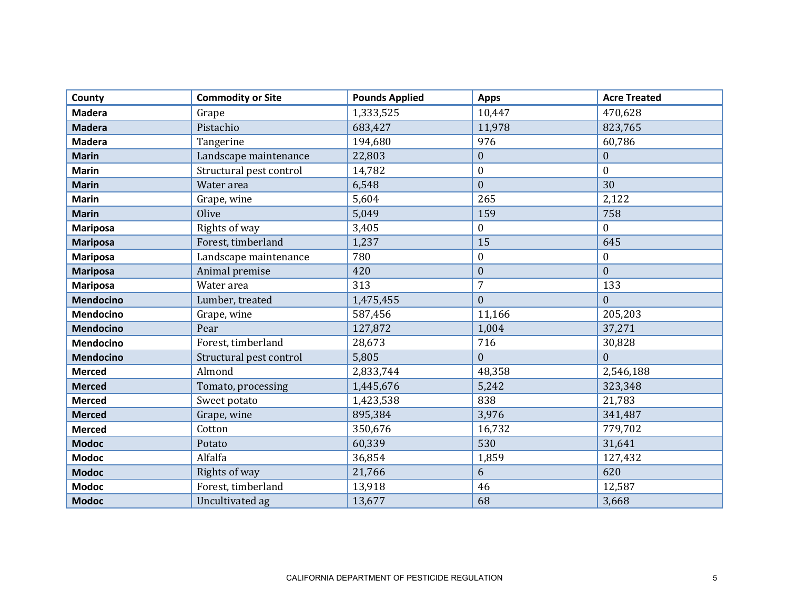| County           | <b>Commodity or Site</b> | <b>Pounds Applied</b> | <b>Apps</b>      | <b>Acre Treated</b> |
|------------------|--------------------------|-----------------------|------------------|---------------------|
| <b>Madera</b>    | Grape                    | 1,333,525             | 10,447           | 470,628             |
| <b>Madera</b>    | Pistachio                | 683,427               | 11,978           | 823,765             |
| <b>Madera</b>    | Tangerine                | 194,680               | 976              | 60,786              |
| <b>Marin</b>     | Landscape maintenance    | 22,803                | $\boldsymbol{0}$ | $\boldsymbol{0}$    |
| <b>Marin</b>     | Structural pest control  | 14,782                | $\boldsymbol{0}$ | $\boldsymbol{0}$    |
| <b>Marin</b>     | Water area               | 6,548                 | $\mathbf{0}$     | 30                  |
| <b>Marin</b>     | Grape, wine              | 5,604                 | 265              | 2,122               |
| <b>Marin</b>     | Olive                    | 5,049                 | 159              | 758                 |
| <b>Mariposa</b>  | Rights of way            | 3,405                 | $\boldsymbol{0}$ | $\theta$            |
| <b>Mariposa</b>  | Forest, timberland       | 1,237                 | 15               | 645                 |
| <b>Mariposa</b>  | Landscape maintenance    | 780                   | $\boldsymbol{0}$ | $\boldsymbol{0}$    |
| <b>Mariposa</b>  | Animal premise           | 420                   | $\mathbf{0}$     | $\mathbf{0}$        |
| <b>Mariposa</b>  | Water area               | 313                   | $\overline{7}$   | 133                 |
| <b>Mendocino</b> | Lumber, treated          | 1,475,455             | $\mathbf{0}$     | $\overline{0}$      |
| Mendocino        | Grape, wine              | 587,456               | 11,166           | 205,203             |
| <b>Mendocino</b> | Pear                     | 127,872               | 1,004            | 37,271              |
| <b>Mendocino</b> | Forest, timberland       | 28,673                | 716              | 30,828              |
| <b>Mendocino</b> | Structural pest control  | 5,805                 | $\mathbf{0}$     | $\mathbf{0}$        |
| <b>Merced</b>    | Almond                   | 2,833,744             | 48,358           | 2,546,188           |
| <b>Merced</b>    | Tomato, processing       | 1,445,676             | 5,242            | 323,348             |
| <b>Merced</b>    | Sweet potato             | 1,423,538             | 838              | 21,783              |
| <b>Merced</b>    | Grape, wine              | 895,384               | 3,976            | 341,487             |
| <b>Merced</b>    | Cotton                   | 350,676               | 16,732           | 779,702             |
| <b>Modoc</b>     | Potato                   | 60,339                | 530              | 31,641              |
| <b>Modoc</b>     | Alfalfa                  | 36,854                | 1,859            | 127,432             |
| <b>Modoc</b>     | Rights of way            | 21,766                | 6                | 620                 |
| <b>Modoc</b>     | Forest, timberland       | 13,918                | 46               | 12,587              |
| <b>Modoc</b>     | Uncultivated ag          | 13,677                | 68               | 3,668               |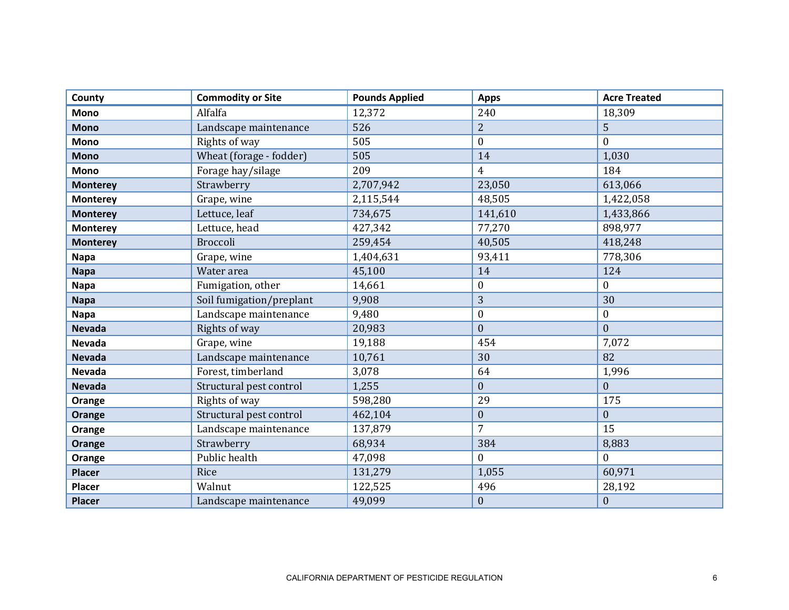| County          | <b>Commodity or Site</b> | <b>Pounds Applied</b> | <b>Apps</b>      | <b>Acre Treated</b> |
|-----------------|--------------------------|-----------------------|------------------|---------------------|
| <b>Mono</b>     | Alfalfa                  | 12,372                | 240              | 18,309              |
| <b>Mono</b>     | Landscape maintenance    | 526                   | $\overline{2}$   | 5                   |
| <b>Mono</b>     | Rights of way            | 505                   | $\boldsymbol{0}$ | $\mathbf{0}$        |
| <b>Mono</b>     | Wheat (forage - fodder)  | 505                   | 14               | 1,030               |
| <b>Mono</b>     | Forage hay/silage        | 209                   | $\overline{4}$   | 184                 |
| <b>Monterey</b> | Strawberry               | 2,707,942             | 23,050           | 613,066             |
| <b>Monterey</b> | Grape, wine              | 2,115,544             | 48,505           | 1,422,058           |
| <b>Monterey</b> | Lettuce, leaf            | 734,675               | 141,610          | 1,433,866           |
| <b>Monterey</b> | Lettuce, head            | 427,342               | 77,270           | 898,977             |
| <b>Monterey</b> | <b>Broccoli</b>          | 259,454               | 40,505           | 418,248             |
| <b>Napa</b>     | Grape, wine              | 1,404,631             | 93,411           | 778,306             |
| <b>Napa</b>     | Water area               | 45,100                | 14               | 124                 |
| <b>Napa</b>     | Fumigation, other        | 14,661                | $\boldsymbol{0}$ | $\boldsymbol{0}$    |
| <b>Napa</b>     | Soil fumigation/preplant | 9,908                 | 3                | 30                  |
| <b>Napa</b>     | Landscape maintenance    | 9,480                 | $\boldsymbol{0}$ | $\bf{0}$            |
| <b>Nevada</b>   | Rights of way            | 20,983                | $\mathbf{0}$     | $\overline{0}$      |
| <b>Nevada</b>   | Grape, wine              | 19,188                | 454              | 7,072               |
| <b>Nevada</b>   | Landscape maintenance    | 10,761                | 30               | 82                  |
| <b>Nevada</b>   | Forest, timberland       | 3,078                 | 64               | 1,996               |
| <b>Nevada</b>   | Structural pest control  | 1,255                 | $\mathbf{0}$     | $\mathbf{0}$        |
| Orange          | Rights of way            | 598,280               | 29               | 175                 |
| Orange          | Structural pest control  | 462,104               | $\boldsymbol{0}$ | $\boldsymbol{0}$    |
| Orange          | Landscape maintenance    | 137,879               | $\overline{7}$   | 15                  |
| Orange          | Strawberry               | 68,934                | 384              | 8,883               |
| Orange          | Public health            | 47,098                | $\boldsymbol{0}$ | $\theta$            |
| <b>Placer</b>   | Rice                     | 131,279               | 1,055            | 60,971              |
| Placer          | Walnut                   | 122,525               | 496              | 28,192              |
| <b>Placer</b>   | Landscape maintenance    | 49,099                | $\boldsymbol{0}$ | $\boldsymbol{0}$    |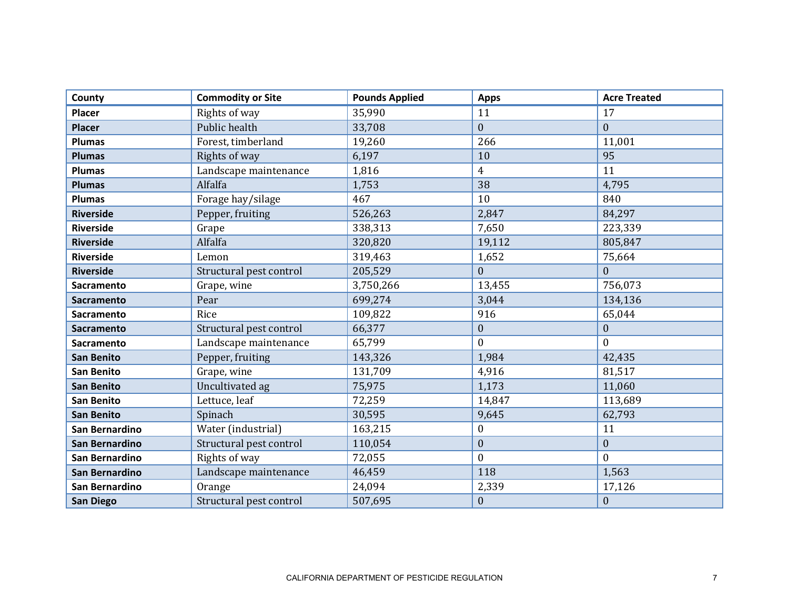| County            | <b>Commodity or Site</b> | <b>Pounds Applied</b> | <b>Apps</b>      | <b>Acre Treated</b> |
|-------------------|--------------------------|-----------------------|------------------|---------------------|
| <b>Placer</b>     | Rights of way            | 35,990                | 11               | 17                  |
| <b>Placer</b>     | Public health            | 33,708                | $\mathbf{0}$     | $\mathbf{0}$        |
| <b>Plumas</b>     | Forest, timberland       | 19,260                | 266              | 11,001              |
| <b>Plumas</b>     | Rights of way            | 6,197                 | 10               | 95                  |
| <b>Plumas</b>     | Landscape maintenance    | 1,816                 | $\overline{4}$   | 11                  |
| <b>Plumas</b>     | Alfalfa                  | 1,753                 | 38               | 4,795               |
| <b>Plumas</b>     | Forage hay/silage        | 467                   | 10               | 840                 |
| <b>Riverside</b>  | Pepper, fruiting         | 526,263               | 2,847            | 84,297              |
| <b>Riverside</b>  | Grape                    | 338,313               | 7,650            | 223,339             |
| <b>Riverside</b>  | Alfalfa                  | 320,820               | 19,112           | 805,847             |
| <b>Riverside</b>  | Lemon                    | 319,463               | 1,652            | 75,664              |
| <b>Riverside</b>  | Structural pest control  | 205,529               | $\mathbf{0}$     | $\mathbf{0}$        |
| Sacramento        | Grape, wine              | 3,750,266             | 13,455           | 756,073             |
| <b>Sacramento</b> | Pear                     | 699,274               | 3,044            | 134,136             |
| <b>Sacramento</b> | Rice                     | 109,822               | 916              | 65,044              |
| <b>Sacramento</b> | Structural pest control  | 66,377                | $\boldsymbol{0}$ | $\boldsymbol{0}$    |
| <b>Sacramento</b> | Landscape maintenance    | 65,799                | $\mathbf{0}$     | $\Omega$            |
| <b>San Benito</b> | Pepper, fruiting         | 143,326               | 1,984            | 42,435              |
| <b>San Benito</b> | Grape, wine              | 131,709               | 4,916            | 81,517              |
| <b>San Benito</b> | Uncultivated ag          | 75,975                | 1,173            | 11,060              |
| <b>San Benito</b> | Lettuce, leaf            | 72,259                | 14,847           | 113,689             |
| <b>San Benito</b> | Spinach                  | 30,595                | 9,645            | 62,793              |
| San Bernardino    | Water (industrial)       | 163,215               | $\boldsymbol{0}$ | 11                  |
| San Bernardino    | Structural pest control  | 110,054               | $\boldsymbol{0}$ | $\mathbf{0}$        |
| San Bernardino    | Rights of way            | 72,055                | $\boldsymbol{0}$ | $\theta$            |
| San Bernardino    | Landscape maintenance    | 46,459                | 118              | 1,563               |
| San Bernardino    | Orange                   | 24,094                | 2,339            | 17,126              |
| <b>San Diego</b>  | Structural pest control  | 507,695               | $\boldsymbol{0}$ | $\boldsymbol{0}$    |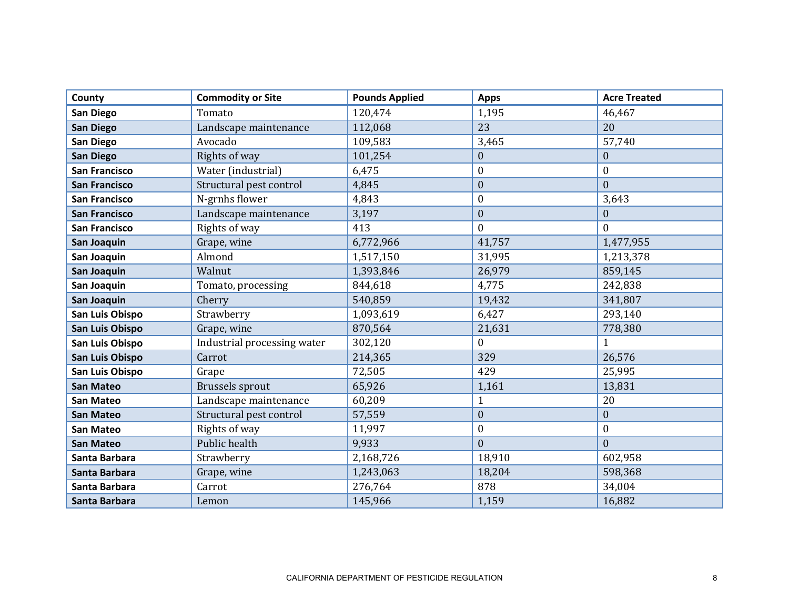| County               | <b>Commodity or Site</b>    | <b>Pounds Applied</b> | <b>Apps</b>      | <b>Acre Treated</b> |
|----------------------|-----------------------------|-----------------------|------------------|---------------------|
| San Diego            | Tomato                      | 120,474               | 1,195            | 46,467              |
| <b>San Diego</b>     | Landscape maintenance       | 112,068               | 23               | 20                  |
| San Diego            | Avocado                     | 109,583               | 3,465            | 57,740              |
| <b>San Diego</b>     | Rights of way               | 101,254               | $\boldsymbol{0}$ | $\boldsymbol{0}$    |
| <b>San Francisco</b> | Water (industrial)          | 6,475                 | $\boldsymbol{0}$ | $\boldsymbol{0}$    |
| <b>San Francisco</b> | Structural pest control     | 4,845                 | $\boldsymbol{0}$ | $\mathbf{0}$        |
| <b>San Francisco</b> | N-grnhs flower              | 4,843                 | $\boldsymbol{0}$ | 3,643               |
| <b>San Francisco</b> | Landscape maintenance       | 3,197                 | $\boldsymbol{0}$ | $\mathbf{0}$        |
| <b>San Francisco</b> | Rights of way               | 413                   | $\mathbf{0}$     | $\theta$            |
| San Joaquin          | Grape, wine                 | 6,772,966             | 41,757           | 1,477,955           |
| San Joaquin          | Almond                      | 1,517,150             | 31,995           | 1,213,378           |
| San Joaquin          | Walnut                      | 1,393,846             | 26,979           | 859,145             |
| San Joaquin          | Tomato, processing          | 844,618               | 4,775            | 242,838             |
| San Joaquin          | Cherry                      | 540,859               | 19,432           | 341,807             |
| San Luis Obispo      | Strawberry                  | 1,093,619             | 6,427            | 293,140             |
| San Luis Obispo      | Grape, wine                 | 870,564               | 21,631           | 778,380             |
| San Luis Obispo      | Industrial processing water | 302,120               | $\mathbf{0}$     | 1                   |
| San Luis Obispo      | Carrot                      | 214,365               | 329              | 26,576              |
| San Luis Obispo      | Grape                       | 72,505                | 429              | 25,995              |
| <b>San Mateo</b>     | <b>Brussels sprout</b>      | 65,926                | 1,161            | 13,831              |
| <b>San Mateo</b>     | Landscape maintenance       | 60,209                | $\mathbf{1}$     | 20                  |
| <b>San Mateo</b>     | Structural pest control     | 57,559                | $\boldsymbol{0}$ | $\boldsymbol{0}$    |
| <b>San Mateo</b>     | Rights of way               | 11,997                | $\boldsymbol{0}$ | $\boldsymbol{0}$    |
| <b>San Mateo</b>     | Public health               | 9,933                 | $\boldsymbol{0}$ | $\mathbf{0}$        |
| Santa Barbara        | Strawberry                  | 2,168,726             | 18,910           | 602,958             |
| Santa Barbara        | Grape, wine                 | 1,243,063             | 18,204           | 598,368             |
| Santa Barbara        | Carrot                      | 276,764               | 878              | 34,004              |
| Santa Barbara        | Lemon                       | 145,966               | 1,159            | 16,882              |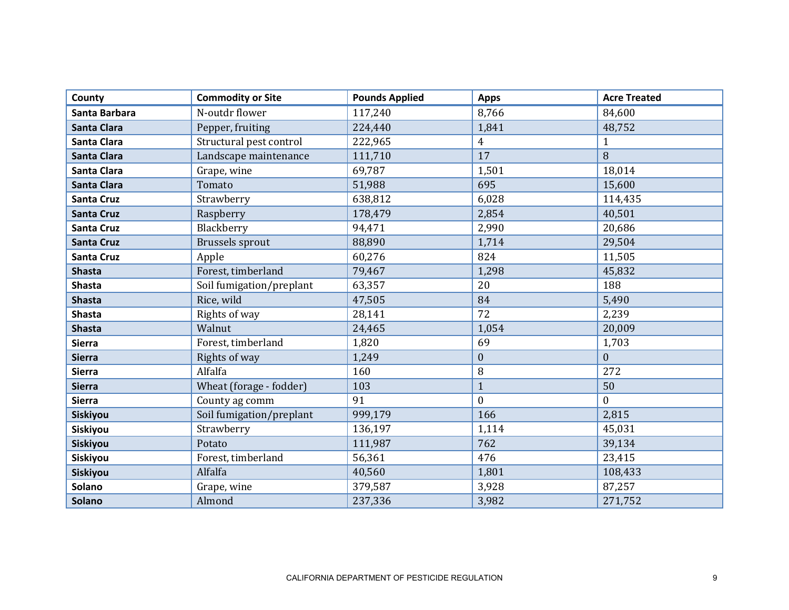| County             | <b>Commodity or Site</b> | <b>Pounds Applied</b> | <b>Apps</b>    | <b>Acre Treated</b> |
|--------------------|--------------------------|-----------------------|----------------|---------------------|
| Santa Barbara      | N-outdr flower           | 117,240               | 8,766          | 84,600              |
| <b>Santa Clara</b> | Pepper, fruiting         | 224,440               | 1,841          | 48,752              |
| <b>Santa Clara</b> | Structural pest control  | 222,965               | $\overline{4}$ | 1                   |
| <b>Santa Clara</b> | Landscape maintenance    | 111,710               | 17             | 8                   |
| <b>Santa Clara</b> | Grape, wine              | 69,787                | 1,501          | 18,014              |
| <b>Santa Clara</b> | Tomato                   | 51,988                | 695            | 15,600              |
| <b>Santa Cruz</b>  | Strawberry               | 638,812               | 6,028          | 114,435             |
| <b>Santa Cruz</b>  | Raspberry                | 178,479               | 2,854          | 40,501              |
| Santa Cruz         | Blackberry               | 94,471                | 2,990          | 20,686              |
| <b>Santa Cruz</b>  | <b>Brussels sprout</b>   | 88,890                | 1,714          | 29,504              |
| <b>Santa Cruz</b>  | Apple                    | 60,276                | 824            | 11,505              |
| <b>Shasta</b>      | Forest, timberland       | 79,467                | 1,298          | 45,832              |
| <b>Shasta</b>      | Soil fumigation/preplant | 63,357                | 20             | 188                 |
| <b>Shasta</b>      | Rice, wild               | 47,505                | 84             | 5,490               |
| <b>Shasta</b>      | Rights of way            | 28,141                | 72             | 2,239               |
| <b>Shasta</b>      | Walnut                   | 24,465                | 1,054          | 20,009              |
| <b>Sierra</b>      | Forest, timberland       | 1,820                 | 69             | 1,703               |
| <b>Sierra</b>      | Rights of way            | 1,249                 | $\mathbf{0}$   | $\mathbf{0}$        |
| <b>Sierra</b>      | Alfalfa                  | 160                   | 8              | 272                 |
| <b>Sierra</b>      | Wheat (forage - fodder)  | 103                   | $\mathbf{1}$   | 50                  |
| <b>Sierra</b>      | County ag comm           | 91                    | $\mathbf{0}$   | $\Omega$            |
| <b>Siskiyou</b>    | Soil fumigation/preplant | 999,179               | 166            | 2,815               |
| Siskiyou           | Strawberry               | 136,197               | 1,114          | 45,031              |
| Siskiyou           | Potato                   | 111,987               | 762            | 39,134              |
| Siskiyou           | Forest, timberland       | 56,361                | 476            | 23,415              |
| Siskiyou           | Alfalfa                  | 40,560                | 1,801          | 108,433             |
| Solano             | Grape, wine              | 379,587               | 3,928          | 87,257              |
| <b>Solano</b>      | Almond                   | 237,336               | 3,982          | 271,752             |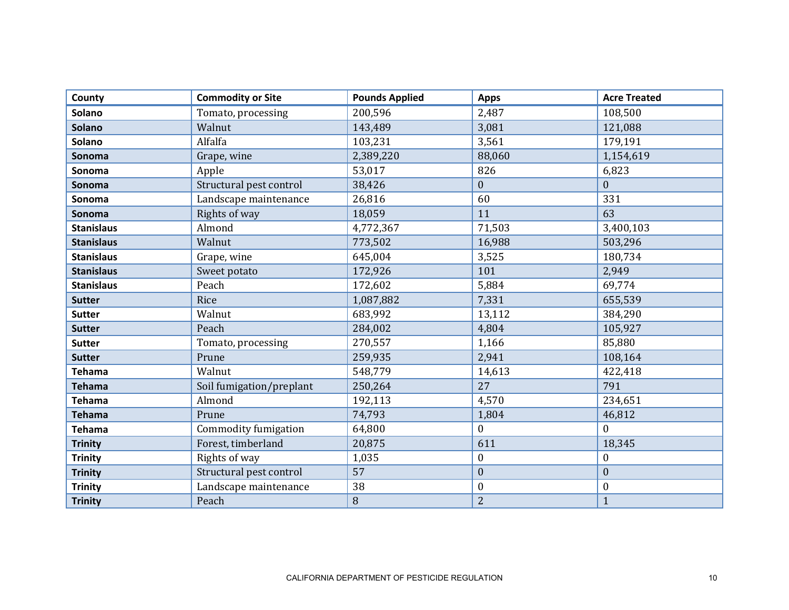| County            | <b>Commodity or Site</b> | <b>Pounds Applied</b> | <b>Apps</b>      | <b>Acre Treated</b> |
|-------------------|--------------------------|-----------------------|------------------|---------------------|
| <b>Solano</b>     | Tomato, processing       | 200,596               | 2,487            | 108,500             |
| <b>Solano</b>     | Walnut                   | 143,489               | 3,081            | 121,088             |
| Solano            | Alfalfa                  | 103,231               | 3,561            | 179,191             |
| Sonoma            | Grape, wine              | 2,389,220             | 88,060           | 1,154,619           |
| Sonoma            | Apple                    | 53,017                | 826              | 6,823               |
| Sonoma            | Structural pest control  | 38,426                | $\mathbf{0}$     | $\mathbf{0}$        |
| Sonoma            | Landscape maintenance    | 26,816                | 60               | 331                 |
| Sonoma            | Rights of way            | 18,059                | 11               | 63                  |
| <b>Stanislaus</b> | Almond                   | 4,772,367             | 71,503           | 3,400,103           |
| <b>Stanislaus</b> | Walnut                   | 773,502               | 16,988           | 503,296             |
| <b>Stanislaus</b> | Grape, wine              | 645,004               | 3,525            | 180,734             |
| <b>Stanislaus</b> | Sweet potato             | 172,926               | 101              | 2,949               |
| <b>Stanislaus</b> | Peach                    | 172,602               | 5,884            | 69,774              |
| <b>Sutter</b>     | Rice                     | 1,087,882             | 7,331            | 655,539             |
| <b>Sutter</b>     | Walnut                   | 683,992               | 13,112           | 384,290             |
| <b>Sutter</b>     | Peach                    | 284,002               | 4,804            | 105,927             |
| <b>Sutter</b>     | Tomato, processing       | 270,557               | 1,166            | 85,880              |
| <b>Sutter</b>     | Prune                    | 259,935               | 2,941            | 108,164             |
| <b>Tehama</b>     | Walnut                   | 548,779               | 14,613           | 422,418             |
| <b>Tehama</b>     | Soil fumigation/preplant | 250,264               | 27               | 791                 |
| <b>Tehama</b>     | Almond                   | 192,113               | 4,570            | 234,651             |
| <b>Tehama</b>     | Prune                    | 74,793                | 1,804            | 46,812              |
| <b>Tehama</b>     | Commodity fumigation     | 64,800                | $\boldsymbol{0}$ | $\theta$            |
| <b>Trinity</b>    | Forest, timberland       | 20,875                | 611              | 18,345              |
| <b>Trinity</b>    | Rights of way            | 1,035                 | $\boldsymbol{0}$ | $\boldsymbol{0}$    |
| <b>Trinity</b>    | Structural pest control  | 57                    | $\mathbf{0}$     | $\mathbf{0}$        |
| <b>Trinity</b>    | Landscape maintenance    | 38                    | $\boldsymbol{0}$ | $\boldsymbol{0}$    |
| <b>Trinity</b>    | Peach                    | 8                     | $\overline{2}$   | $\mathbf{1}$        |